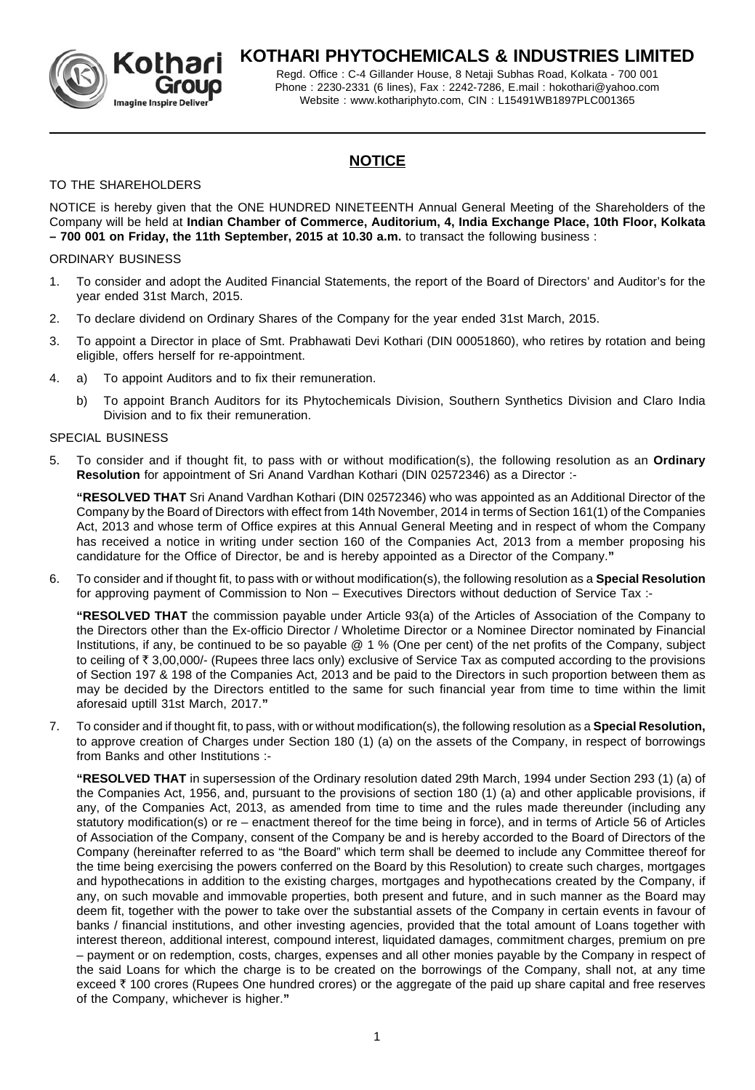

# **KOTHARI PHYTOCHEMICALS & INDUSTRIES LIMITED**

Regd. Office : C-4 Gillander House, 8 Netaji Subhas Road, Kolkata - 700 001 Phone : 2230-2331 (6 lines), Fax : 2242-7286, E.mail : hokothari@yahoo.com Website : www.kothariphyto.com, CIN : L15491WB1897PLC001365

# **NOTICE**

## TO THE SHAREHOLDERS

NOTICE is hereby given that the ONE HUNDRED NINETEENTH Annual General Meeting of the Shareholders of the Company will be held at **Indian Chamber of Commerce, Auditorium, 4, India Exchange Place, 10th Floor, Kolkata – 700 001 on Friday, the 11th September, 2015 at 10.30 a.m.** to transact the following business :

## ORDINARY BUSINESS

- 1. To consider and adopt the Audited Financial Statements, the report of the Board of Directors' and Auditor's for the year ended 31st March, 2015.
- 2. To declare dividend on Ordinary Shares of the Company for the year ended 31st March, 2015.
- 3. To appoint a Director in place of Smt. Prabhawati Devi Kothari (DIN 00051860), who retires by rotation and being eligible, offers herself for re-appointment.
- 4. a) To appoint Auditors and to fix their remuneration.
	- b) To appoint Branch Auditors for its Phytochemicals Division, Southern Synthetics Division and Claro India Division and to fix their remuneration.

## SPECIAL BUSINESS

5. To consider and if thought fit, to pass with or without modification(s), the following resolution as an **Ordinary Resolution** for appointment of Sri Anand Vardhan Kothari (DIN 02572346) as a Director :-

**"RESOLVED THAT** Sri Anand Vardhan Kothari (DIN 02572346) who was appointed as an Additional Director of the Company by the Board of Directors with effect from 14th November, 2014 in terms of Section 161(1) of the Companies Act, 2013 and whose term of Office expires at this Annual General Meeting and in respect of whom the Company has received a notice in writing under section 160 of the Companies Act, 2013 from a member proposing his candidature for the Office of Director, be and is hereby appointed as a Director of the Company.**"**

6. To consider and if thought fit, to pass with or without modification(s), the following resolution as a **Special Resolution** for approving payment of Commission to Non – Executives Directors without deduction of Service Tax :-

**"RESOLVED THAT** the commission payable under Article 93(a) of the Articles of Association of the Company to the Directors other than the Ex-officio Director / Wholetime Director or a Nominee Director nominated by Financial Institutions, if any, be continued to be so payable @ 1 % (One per cent) of the net profits of the Company, subject to ceiling of  $\bar{\tau}$  3,00,000/- (Rupees three lacs only) exclusive of Service Tax as computed according to the provisions of Section 197 & 198 of the Companies Act, 2013 and be paid to the Directors in such proportion between them as may be decided by the Directors entitled to the same for such financial year from time to time within the limit aforesaid uptill 31st March, 2017.**"**

7. To consider and if thought fit, to pass, with or without modification(s), the following resolution as a **Special Resolution,** to approve creation of Charges under Section 180 (1) (a) on the assets of the Company, in respect of borrowings from Banks and other Institutions :-

**"RESOLVED THAT** in supersession of the Ordinary resolution dated 29th March, 1994 under Section 293 (1) (a) of the Companies Act, 1956, and, pursuant to the provisions of section 180 (1) (a) and other applicable provisions, if any, of the Companies Act, 2013, as amended from time to time and the rules made thereunder (including any statutory modification(s) or re – enactment thereof for the time being in force), and in terms of Article 56 of Articles of Association of the Company, consent of the Company be and is hereby accorded to the Board of Directors of the Company (hereinafter referred to as "the Board" which term shall be deemed to include any Committee thereof for the time being exercising the powers conferred on the Board by this Resolution) to create such charges, mortgages and hypothecations in addition to the existing charges, mortgages and hypothecations created by the Company, if any, on such movable and immovable properties, both present and future, and in such manner as the Board may deem fit, together with the power to take over the substantial assets of the Company in certain events in favour of banks / financial institutions, and other investing agencies, provided that the total amount of Loans together with interest thereon, additional interest, compound interest, liquidated damages, commitment charges, premium on pre – payment or on redemption, costs, charges, expenses and all other monies payable by the Company in respect of the said Loans for which the charge is to be created on the borrowings of the Company, shall not, at any time exceed  $\bar{\tau}$  100 crores (Rupees One hundred crores) or the aggregate of the paid up share capital and free reserves of the Company, whichever is higher.**"**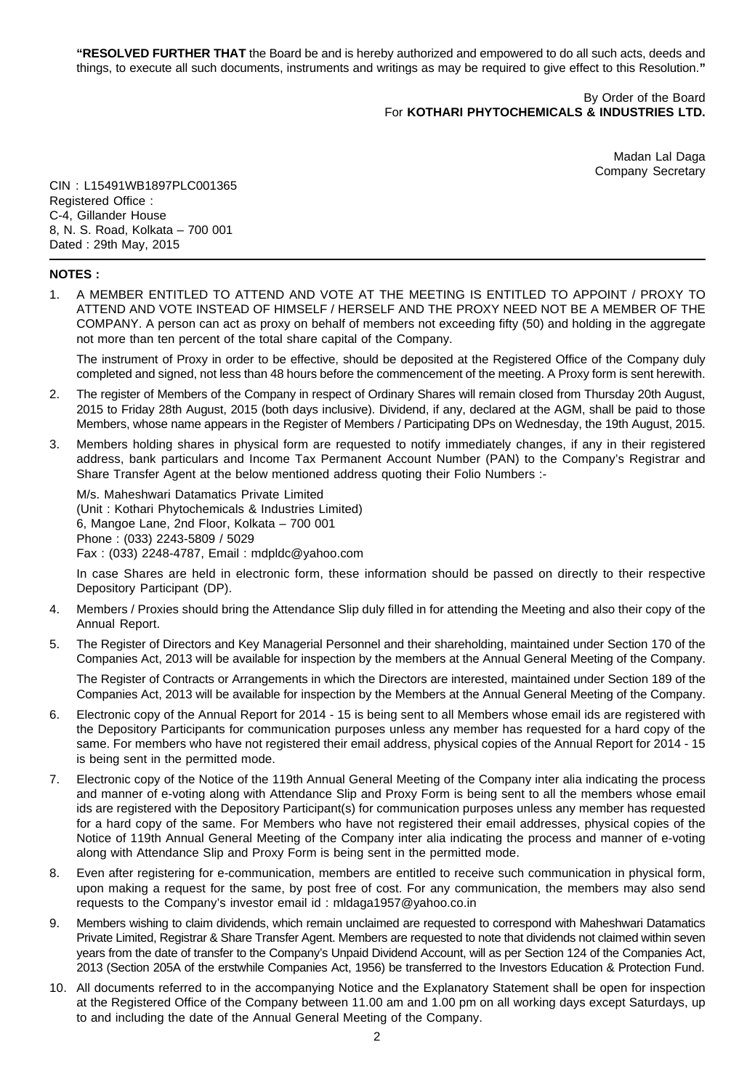**"RESOLVED FURTHER THAT** the Board be and is hereby authorized and empowered to do all such acts, deeds and things, to execute all such documents, instruments and writings as may be required to give effect to this Resolution.**"**

> By Order of the Board For **KOTHARI PHYTOCHEMICALS & INDUSTRIES LTD.**

> > Madan Lal Daga Company Secretary

CIN : L15491WB1897PLC001365 Registered Office : C-4, Gillander House 8, N. S. Road, Kolkata – 700 001 Dated : 29th May, 2015

### **NOTES :**

1. A MEMBER ENTITLED TO ATTEND AND VOTE AT THE MEETING IS ENTITLED TO APPOINT / PROXY TO ATTEND AND VOTE INSTEAD OF HIMSELF / HERSELF AND THE PROXY NEED NOT BE A MEMBER OF THE COMPANY. A person can act as proxy on behalf of members not exceeding fifty (50) and holding in the aggregate not more than ten percent of the total share capital of the Company.

The instrument of Proxy in order to be effective, should be deposited at the Registered Office of the Company duly completed and signed, not less than 48 hours before the commencement of the meeting. A Proxy form is sent herewith.

- 2. The register of Members of the Company in respect of Ordinary Shares will remain closed from Thursday 20th August, 2015 to Friday 28th August, 2015 (both days inclusive). Dividend, if any, declared at the AGM, shall be paid to those Members, whose name appears in the Register of Members / Participating DPs on Wednesday, the 19th August, 2015.
- 3. Members holding shares in physical form are requested to notify immediately changes, if any in their registered address, bank particulars and Income Tax Permanent Account Number (PAN) to the Company's Registrar and Share Transfer Agent at the below mentioned address quoting their Folio Numbers :-

M/s. Maheshwari Datamatics Private Limited (Unit : Kothari Phytochemicals & Industries Limited) 6, Mangoe Lane, 2nd Floor, Kolkata – 700 001 Phone : (033) 2243-5809 / 5029 Fax : (033) 2248-4787, Email : mdpldc@yahoo.com

In case Shares are held in electronic form, these information should be passed on directly to their respective Depository Participant (DP).

- 4. Members / Proxies should bring the Attendance Slip duly filled in for attending the Meeting and also their copy of the Annual Report.
- 5. The Register of Directors and Key Managerial Personnel and their shareholding, maintained under Section 170 of the Companies Act, 2013 will be available for inspection by the members at the Annual General Meeting of the Company.

The Register of Contracts or Arrangements in which the Directors are interested, maintained under Section 189 of the Companies Act, 2013 will be available for inspection by the Members at the Annual General Meeting of the Company.

- 6. Electronic copy of the Annual Report for 2014 15 is being sent to all Members whose email ids are registered with the Depository Participants for communication purposes unless any member has requested for a hard copy of the same. For members who have not registered their email address, physical copies of the Annual Report for 2014 - 15 is being sent in the permitted mode.
- 7. Electronic copy of the Notice of the 119th Annual General Meeting of the Company inter alia indicating the process and manner of e-voting along with Attendance Slip and Proxy Form is being sent to all the members whose email ids are registered with the Depository Participant(s) for communication purposes unless any member has requested for a hard copy of the same. For Members who have not registered their email addresses, physical copies of the Notice of 119th Annual General Meeting of the Company inter alia indicating the process and manner of e-voting along with Attendance Slip and Proxy Form is being sent in the permitted mode.
- 8. Even after registering for e-communication, members are entitled to receive such communication in physical form, upon making a request for the same, by post free of cost. For any communication, the members may also send requests to the Company's investor email id : mldaga1957@yahoo.co.in
- 9. Members wishing to claim dividends, which remain unclaimed are requested to correspond with Maheshwari Datamatics Private Limited, Registrar & Share Transfer Agent. Members are requested to note that dividends not claimed within seven years from the date of transfer to the Company's Unpaid Dividend Account, will as per Section 124 of the Companies Act, 2013 (Section 205A of the erstwhile Companies Act, 1956) be transferred to the Investors Education & Protection Fund.
- 10. All documents referred to in the accompanying Notice and the Explanatory Statement shall be open for inspection at the Registered Office of the Company between 11.00 am and 1.00 pm on all working days except Saturdays, up to and including the date of the Annual General Meeting of the Company.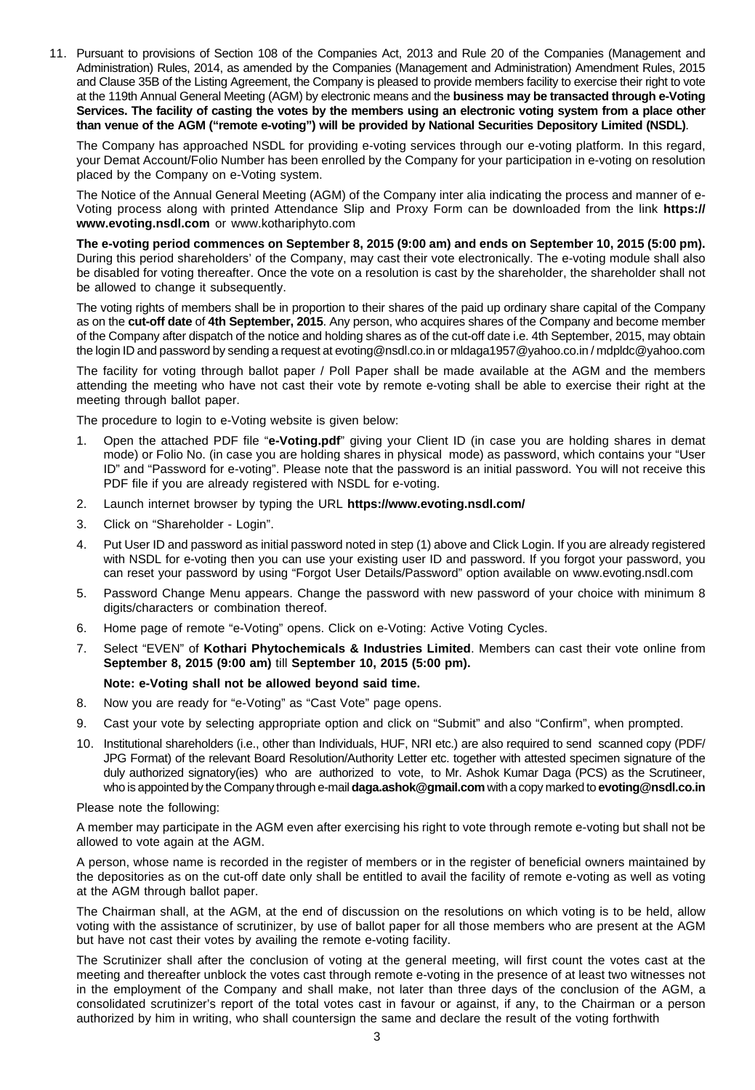11. Pursuant to provisions of Section 108 of the Companies Act, 2013 and Rule 20 of the Companies (Management and Administration) Rules, 2014, as amended by the Companies (Management and Administration) Amendment Rules, 2015 and Clause 35B of the Listing Agreement, the Company is pleased to provide members facility to exercise their right to vote at the 119th Annual General Meeting (AGM) by electronic means and the **business may be transacted through e-Voting Services. The facility of casting the votes by the members using an electronic voting system from a place other than venue of the AGM ("remote e-voting") will be provided by National Securities Depository Limited (NSDL)**.

The Company has approached NSDL for providing e-voting services through our e-voting platform. In this regard, your Demat Account/Folio Number has been enrolled by the Company for your participation in e-voting on resolution placed by the Company on e-Voting system.

The Notice of the Annual General Meeting (AGM) of the Company inter alia indicating the process and manner of e-Voting process along with printed Attendance Slip and Proxy Form can be downloaded from the link **https:// www.evoting.nsdl.com** or www.kothariphyto.com

**The e-voting period commences on September 8, 2015 (9:00 am) and ends on September 10, 2015 (5:00 pm).** During this period shareholders' of the Company, may cast their vote electronically. The e-voting module shall also be disabled for voting thereafter. Once the vote on a resolution is cast by the shareholder, the shareholder shall not be allowed to change it subsequently.

The voting rights of members shall be in proportion to their shares of the paid up ordinary share capital of the Company as on the **cut-off date** of **4th September, 2015**. Any person, who acquires shares of the Company and become member of the Company after dispatch of the notice and holding shares as of the cut-off date i.e. 4th September, 2015, may obtain the login ID and password by sending a request at evoting@nsdl.co.in or mldaga1957@yahoo.co.in / mdpldc@yahoo.com

The facility for voting through ballot paper / Poll Paper shall be made available at the AGM and the members attending the meeting who have not cast their vote by remote e-voting shall be able to exercise their right at the meeting through ballot paper.

The procedure to login to e-Voting website is given below:

- 1. Open the attached PDF file "**e-Voting.pdf**" giving your Client ID (in case you are holding shares in demat mode) or Folio No. (in case you are holding shares in physical mode) as password, which contains your "User ID" and "Password for e-voting". Please note that the password is an initial password. You will not receive this PDF file if you are already registered with NSDL for e-voting.
- 2. Launch internet browser by typing the URL **https://www.evoting.nsdl.com/**
- 3. Click on "Shareholder Login".
- 4. Put User ID and password as initial password noted in step (1) above and Click Login. If you are already registered with NSDL for e-voting then you can use your existing user ID and password. If you forgot your password, you can reset your password by using "Forgot User Details/Password" option available on www.evoting.nsdl.com
- 5. Password Change Menu appears. Change the password with new password of your choice with minimum 8 digits/characters or combination thereof.
- 6. Home page of remote "e-Voting" opens. Click on e-Voting: Active Voting Cycles.
- 7. Select "EVEN" of **Kothari Phytochemicals & Industries Limited**. Members can cast their vote online from **September 8, 2015 (9:00 am)** till **September 10, 2015 (5:00 pm).**

#### **Note: e-Voting shall not be allowed beyond said time.**

- 8. Now you are ready for "e-Voting" as "Cast Vote" page opens.
- 9. Cast your vote by selecting appropriate option and click on "Submit" and also "Confirm", when prompted.
- 10. Institutional shareholders (i.e., other than Individuals, HUF, NRI etc.) are also required to send scanned copy (PDF/ JPG Format) of the relevant Board Resolution/Authority Letter etc. together with attested specimen signature of the duly authorized signatory(ies) who are authorized to vote, to Mr. Ashok Kumar Daga (PCS) as the Scrutineer, who is appointed by the Company through e-mail **daga.ashok@gmail.com** with a copy marked to **evoting@nsdl.co.in**

Please note the following:

A member may participate in the AGM even after exercising his right to vote through remote e-voting but shall not be allowed to vote again at the AGM.

A person, whose name is recorded in the register of members or in the register of beneficial owners maintained by the depositories as on the cut-off date only shall be entitled to avail the facility of remote e-voting as well as voting at the AGM through ballot paper.

The Chairman shall, at the AGM, at the end of discussion on the resolutions on which voting is to be held, allow voting with the assistance of scrutinizer, by use of ballot paper for all those members who are present at the AGM but have not cast their votes by availing the remote e-voting facility.

The Scrutinizer shall after the conclusion of voting at the general meeting, will first count the votes cast at the meeting and thereafter unblock the votes cast through remote e-voting in the presence of at least two witnesses not in the employment of the Company and shall make, not later than three days of the conclusion of the AGM, a consolidated scrutinizer's report of the total votes cast in favour or against, if any, to the Chairman or a person authorized by him in writing, who shall countersign the same and declare the result of the voting forthwith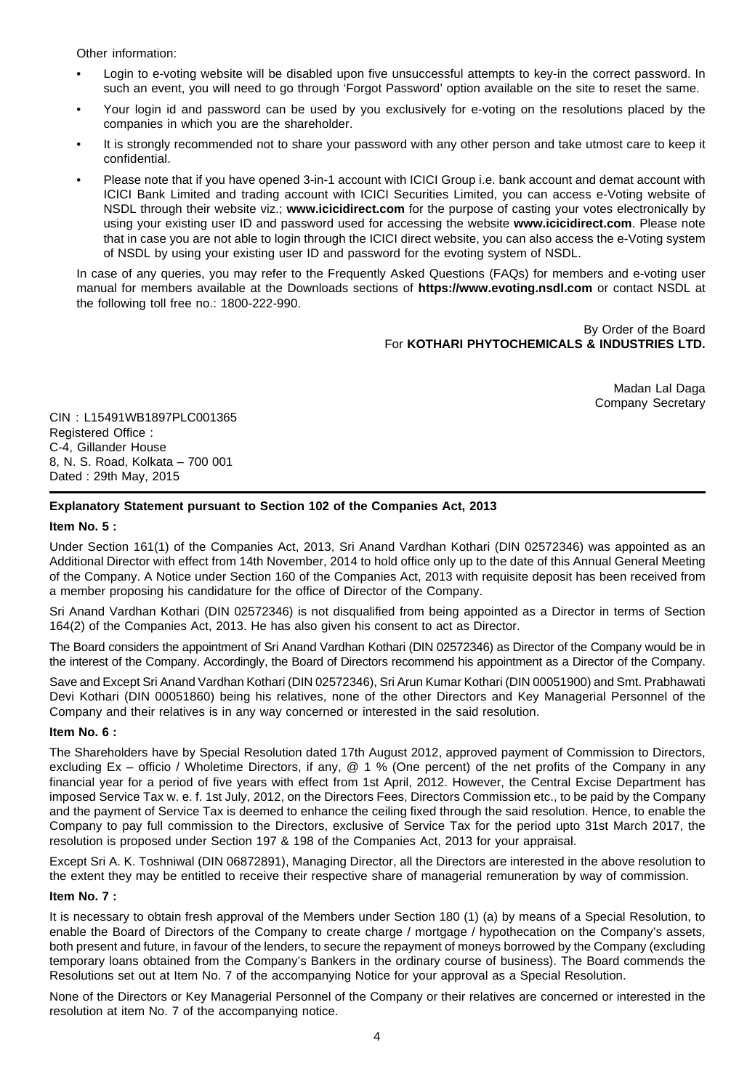Other information:

- Login to e-voting website will be disabled upon five unsuccessful attempts to key-in the correct password. In such an event, you will need to go through 'Forgot Password' option available on the site to reset the same.
- Your login id and password can be used by you exclusively for e-voting on the resolutions placed by the companies in which you are the shareholder.
- It is strongly recommended not to share your password with any other person and take utmost care to keep it confidential.
- Please note that if you have opened 3-in-1 account with ICICI Group i.e. bank account and demat account with ICICI Bank Limited and trading account with ICICI Securities Limited, you can access e-Voting website of NSDL through their website viz.; **www.icicidirect.com** for the purpose of casting your votes electronically by using your existing user ID and password used for accessing the website **www.icicidirect.com**. Please note that in case you are not able to login through the ICICI direct website, you can also access the e-Voting system of NSDL by using your existing user ID and password for the evoting system of NSDL.

In case of any queries, you may refer to the Frequently Asked Questions (FAQs) for members and e-voting user manual for members available at the Downloads sections of **https://www.evoting.nsdl.com** or contact NSDL at the following toll free no.: 1800-222-990.

> By Order of the Board For **KOTHARI PHYTOCHEMICALS & INDUSTRIES LTD.**

> > Madan Lal Daga Company Secretary

CIN : L15491WB1897PLC001365 Registered Office : C-4, Gillander House 8, N. S. Road, Kolkata – 700 001 Dated : 29th May, 2015

## **Explanatory Statement pursuant to Section 102 of the Companies Act, 2013**

#### **Item No. 5 :**

Under Section 161(1) of the Companies Act, 2013, Sri Anand Vardhan Kothari (DIN 02572346) was appointed as an Additional Director with effect from 14th November, 2014 to hold office only up to the date of this Annual General Meeting of the Company. A Notice under Section 160 of the Companies Act, 2013 with requisite deposit has been received from a member proposing his candidature for the office of Director of the Company.

Sri Anand Vardhan Kothari (DIN 02572346) is not disqualified from being appointed as a Director in terms of Section 164(2) of the Companies Act, 2013. He has also given his consent to act as Director.

The Board considers the appointment of Sri Anand Vardhan Kothari (DIN 02572346) as Director of the Company would be in the interest of the Company. Accordingly, the Board of Directors recommend his appointment as a Director of the Company.

Save and Except Sri Anand Vardhan Kothari (DIN 02572346), Sri Arun Kumar Kothari (DIN 00051900) and Smt. Prabhawati Devi Kothari (DIN 00051860) being his relatives, none of the other Directors and Key Managerial Personnel of the Company and their relatives is in any way concerned or interested in the said resolution.

#### **Item No. 6 :**

The Shareholders have by Special Resolution dated 17th August 2012, approved payment of Commission to Directors, excluding Ex – officio / Wholetime Directors, if any, @ 1 % (One percent) of the net profits of the Company in any financial year for a period of five years with effect from 1st April, 2012. However, the Central Excise Department has imposed Service Tax w. e. f. 1st July, 2012, on the Directors Fees, Directors Commission etc., to be paid by the Company and the payment of Service Tax is deemed to enhance the ceiling fixed through the said resolution. Hence, to enable the Company to pay full commission to the Directors, exclusive of Service Tax for the period upto 31st March 2017, the resolution is proposed under Section 197 & 198 of the Companies Act, 2013 for your appraisal.

Except Sri A. K. Toshniwal (DIN 06872891), Managing Director, all the Directors are interested in the above resolution to the extent they may be entitled to receive their respective share of managerial remuneration by way of commission.

#### **Item No. 7 :**

It is necessary to obtain fresh approval of the Members under Section 180 (1) (a) by means of a Special Resolution, to enable the Board of Directors of the Company to create charge / mortgage / hypothecation on the Company's assets, both present and future, in favour of the lenders, to secure the repayment of moneys borrowed by the Company (excluding temporary loans obtained from the Company's Bankers in the ordinary course of business). The Board commends the Resolutions set out at Item No. 7 of the accompanying Notice for your approval as a Special Resolution.

None of the Directors or Key Managerial Personnel of the Company or their relatives are concerned or interested in the resolution at item No. 7 of the accompanying notice.